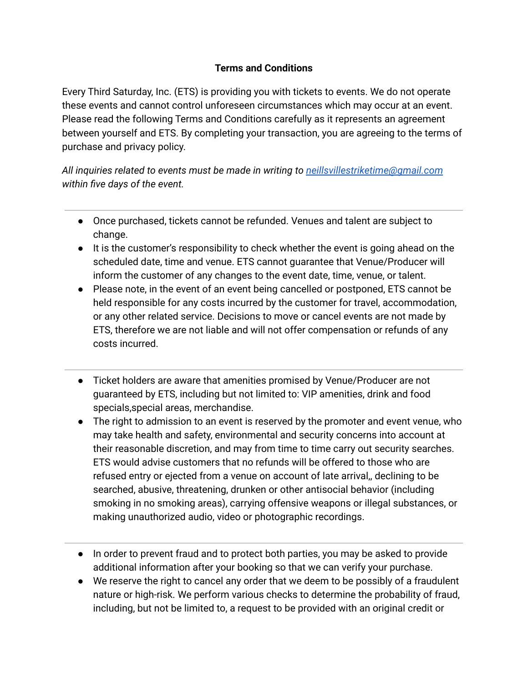## **Terms and Conditions**

Every Third Saturday, Inc. (ETS) is providing you with tickets to events. We do not operate these events and cannot control unforeseen circumstances which may occur at an event. Please read the following Terms and Conditions carefully as it represents an agreement between yourself and ETS. By completing your transaction, you are agreeing to the terms of purchase and privacy policy.

*All inquiries related to events must be made in writing to [neillsvillestriketime@gmail.com](mailto:neillsvillestriketime@gmail.com) within five days of the event.*

- Once purchased, tickets cannot be refunded. Venues and talent are subject to change.
- It is the customer's responsibility to check whether the event is going ahead on the scheduled date, time and venue. ETS cannot guarantee that Venue/Producer will inform the customer of any changes to the event date, time, venue, or talent.
- Please note, in the event of an event being cancelled or postponed, ETS cannot be held responsible for any costs incurred by the customer for travel, accommodation, or any other related service. Decisions to move or cancel events are not made by ETS, therefore we are not liable and will not offer compensation or refunds of any costs incurred.
- Ticket holders are aware that amenities promised by Venue/Producer are not guaranteed by ETS, including but not limited to: VIP amenities, drink and food specials,special areas, merchandise.
- The right to admission to an event is reserved by the promoter and event venue, who may take health and safety, environmental and security concerns into account at their reasonable discretion, and may from time to time carry out security searches. ETS would advise customers that no refunds will be offered to those who are refused entry or ejected from a venue on account of late arrival,, declining to be searched, abusive, threatening, drunken or other antisocial behavior (including smoking in no smoking areas), carrying offensive weapons or illegal substances, or making unauthorized audio, video or photographic recordings.
- In order to prevent fraud and to protect both parties, you may be asked to provide additional information after your booking so that we can verify your purchase.
- We reserve the right to cancel any order that we deem to be possibly of a fraudulent nature or high-risk. We perform various checks to determine the probability of fraud, including, but not be limited to, a request to be provided with an original credit or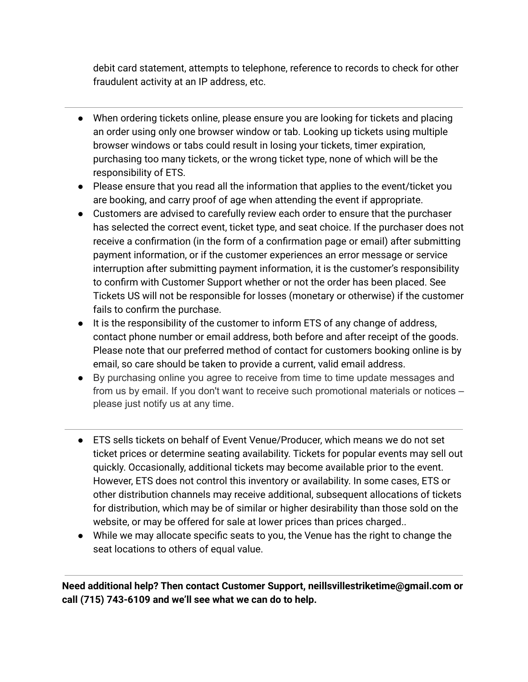debit card statement, attempts to telephone, reference to records to check for other fraudulent activity at an IP address, etc.

- When ordering tickets online, please ensure you are looking for tickets and placing an order using only one browser window or tab. Looking up tickets using multiple browser windows or tabs could result in losing your tickets, timer expiration, purchasing too many tickets, or the wrong ticket type, none of which will be the responsibility of ETS.
- Please ensure that you read all the information that applies to the event/ticket you are booking, and carry proof of age when attending the event if appropriate.
- Customers are advised to carefully review each order to ensure that the purchaser has selected the correct event, ticket type, and seat choice. If the purchaser does not receive a confirmation (in the form of a confirmation page or email) after submitting payment information, or if the customer experiences an error message or service interruption after submitting payment information, it is the customer's responsibility to confirm with Customer Support whether or not the order has been placed. See Tickets US will not be responsible for losses (monetary or otherwise) if the customer fails to confirm the purchase.
- It is the responsibility of the customer to inform ETS of any change of address, contact phone number or email address, both before and after receipt of the goods. Please note that our preferred method of contact for customers booking online is by email, so care should be taken to provide a current, valid email address.
- By purchasing online you agree to receive from time to time update messages and from us by email. If you don't want to receive such promotional materials or notices – please just notify us at any time.
- ETS sells tickets on behalf of Event Venue/Producer, which means we do not set ticket prices or determine seating availability. Tickets for popular events may sell out quickly. Occasionally, additional tickets may become available prior to the event. However, ETS does not control this inventory or availability. In some cases, ETS or other distribution channels may receive additional, subsequent allocations of tickets for distribution, which may be of similar or higher desirability than those sold on the website, or may be offered for sale at lower prices than prices charged..
- While we may allocate specific seats to you, the Venue has the right to change the seat locations to others of equal value.

**Need additional help? Then contact Customer Support, neillsvillestriketime@gmail.com or call (715) 743-6109 and we'll see what we can do to help.**